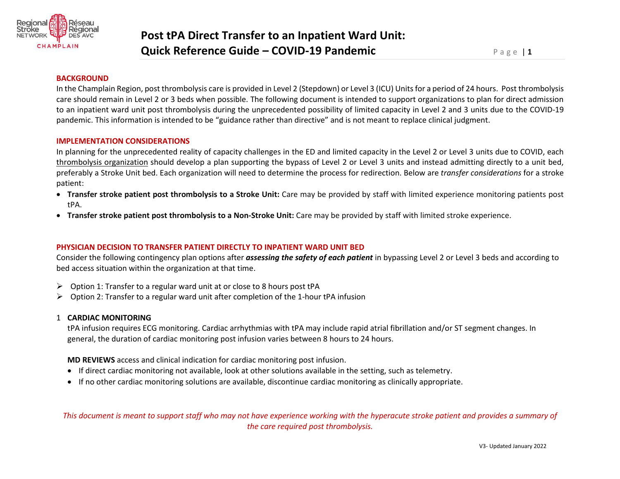

#### **BACKGROUND**

In the Champlain Region, post thrombolysis care is provided in Level 2 (Stepdown) or Level 3 (ICU) Units for a period of 24 hours. Post thrombolysis care should remain in Level 2 or 3 beds when possible. The following document is intended to support organizations to plan for direct admission to an inpatient ward unit post thrombolysis during the unprecedented possibility of limited capacity in Level 2 and 3 units due to the COVID-19 pandemic. This information is intended to be "guidance rather than directive" and is not meant to replace clinical judgment.

#### **IMPLEMENTATION CONSIDERATIONS**

In planning for the unprecedented reality of capacity challenges in the ED and limited capacity in the Level 2 or Level 3 units due to COVID, each thrombolysis organization should develop a plan supporting the bypass of Level 2 or Level 3 units and instead admitting directly to a unit bed, preferably a Stroke Unit bed. Each organization will need to determine the process for redirection. Below are *transfer considerations* for a stroke patient:

- **Transfer stroke patient post thrombolysis to a Stroke Unit:** Care may be provided by staff with limited experience monitoring patients post tPA.
- **Transfer stroke patient post thrombolysis to a Non-Stroke Unit:** Care may be provided by staff with limited stroke experience.

### **PHYSICIAN DECISION TO TRANSFER PATIENT DIRECTLY TO INPATIENT WARD UNIT BED**

Consider the following contingency plan options after *assessing the safety of each patient* in bypassing Level 2 or Level 3 beds and according to bed access situation within the organization at that time.

- ➢ Option 1: Transfer to a regular ward unit at or close to 8 hours post tPA
- $\triangleright$  Option 2: Transfer to a regular ward unit after completion of the 1-hour tPA infusion

### 1 **CARDIAC MONITORING**

tPA infusion requires ECG monitoring. Cardiac arrhythmias with tPA may include rapid atrial fibrillation and/or ST segment changes. In general, the duration of cardiac monitoring post infusion varies between 8 hours to 24 hours.

**MD REVIEWS** access and clinical indication for cardiac monitoring post infusion.

- If direct cardiac monitoring not available, look at other solutions available in the setting, such as telemetry.
- If no other cardiac monitoring solutions are available, discontinue cardiac monitoring as clinically appropriate.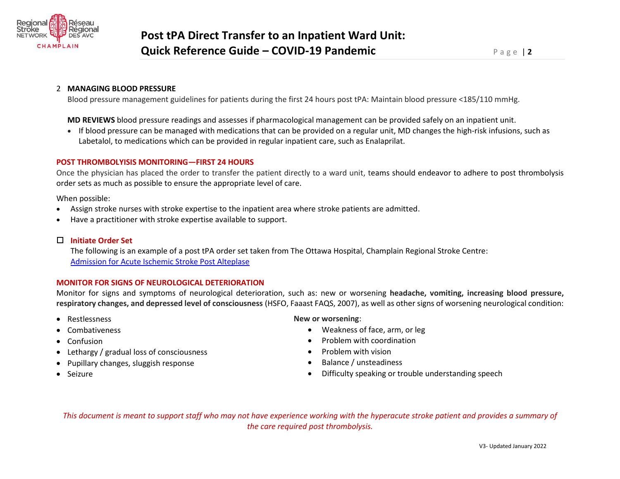

# 2 **MANAGING BLOOD PRESSURE**

Blood pressure management guidelines for patients during the first 24 hours post tPA: Maintain blood pressure <185/110 mmHg.

**MD REVIEWS** blood pressure readings and assesses if pharmacological management can be provided safely on an inpatient unit.

• If blood pressure can be managed with medications that can be provided on a regular unit, MD changes the high-risk infusions, such as Labetalol, to medications which can be provided in regular inpatient care, such as Enalaprilat.

# **POST THROMBOLYISIS MONITORING—FIRST 24 HOURS**

Once the physician has placed the order to transfer the patient directly to a ward unit, teams should endeavor to adhere to post thrombolysis order sets as much as possible to ensure the appropriate level of care.

When possible:

- Assign stroke nurses with stroke expertise to the inpatient area where stroke patients are admitted.
- Have a practitioner with stroke expertise available to support.

# **Initiate Order Set**

The following is an example of a post tPA order set taken from The Ottawa Hospital, Champlain Regional Stroke Centre: [Admission for Acute Ischemic Stroke Post Alteplase](https://www.crsn.ca/images/2020/Private/SPO_CP_35_Post_Nov_2016.pdf)

## **MONITOR FOR SIGNS OF NEUROLOGICAL DETERIORATION**

Monitor for signs and symptoms of neurological deterioration, such as: new or worsening **headache, vomiting, increasing blood pressure, respiratory changes, and depressed level of consciousness** (HSFO, Faaast FAQS, 2007), as well as other signs of worsening neurological condition:

- Restlessness
- Combativeness
- Confusion
- Lethargy / gradual loss of consciousness
- Pupillary changes, sluggish response
- Seizure

## **New or worsening**:

- Weakness of face, arm, or leg
- Problem with coordination
- Problem with vision
- Balance / unsteadiness
- Difficulty speaking or trouble understanding speech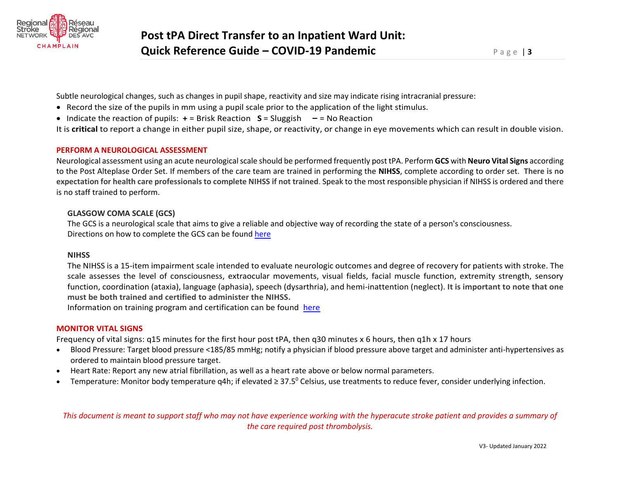

Subtle neurological changes, such as changes in pupil shape, reactivity and size may indicate rising intracranial pressure:

- Record the size of the pupils in mm using a pupil scale prior to the application of the light stimulus.
- Indicate the reaction of pupils: **+** = Brisk Reaction **S** = Sluggish **‒** = No Reaction

It is **critical** to report a change in either pupil size, shape, or reactivity, or change in eye movements which can result in double vision.

### **PERFORM A NEUROLOGICAL ASSESSMENT**

Neurological assessment using an acute neurological scale should be performed frequently post tPA. Perform **GCS** with **Neuro Vital Signs** according to the Post Alteplase Order Set. If members of the care team are trained in performing the **NIHSS**, complete according to order set. **There is no expectation for health care professionals to complete NIHSS if not trained**. Speak to the most responsible physician if NIHSS is ordered and there is no staff trained to perform.

## **GLASGOW COMA SCALE (GCS)**

The GCS is a neurological scale that aims to give a reliable and objective way of recording the state of a person's consciousness. Directions on how to complete the GCS can be found [here](https://strokengine.ca/en/assessments/glasgow-coma-scale-gcs/)

### **NIHSS**

The NIHSS is a 15-item impairment scale intended to evaluate neurologic outcomes and degree of recovery for patients with stroke. The scale assesses the level of consciousness, extraocular movements, visual fields, facial muscle function, extremity strength, sensory function, coordination (ataxia), language (aphasia), speech (dysarthria), and hemi-inattention (neglect). **It is important to note that one must be both trained and certified to administer the NIHSS.** 

Information on training program and certification can be found [here](https://www.corhealthontario.ca/resources-for-healthcare-planners-&-providers/stroke-general/professional-education-inventory/Acute-Neurological-Assessment)

## **MONITOR VITAL SIGNS**

Frequency of vital signs: q15 minutes for the first hour post tPA, then q30 minutes x 6 hours, then q1h x 17 hours

- Blood Pressure: Target blood pressure <185/85 mmHg; notify a physician if blood pressure above target and administer anti-hypertensives as ordered to maintain blood pressure target.
- Heart Rate: Report any new atrial fibrillation, as well as a heart rate above or below normal parameters.
- Temperature: Monitor body temperature q4h; if elevated  $\geq 37.5^{\circ}$  Celsius, use treatments to reduce fever, consider underlying infection.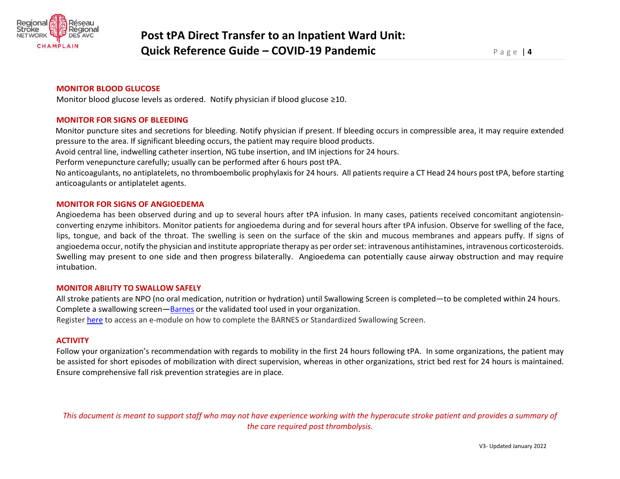

## **MONITOR BLOOD GLUCOSE**

Monitor blood glucose levels as ordered. Notify physician if blood glucose ≥10.

### **MONITOR FOR SIGNS OF BLEEDING**

Monitor puncture sites and secretions for bleeding. Notify physician if present. If bleeding occurs in compressible area, it may require extended pressure to the area. If significant bleeding occurs, the patient may require blood products.

Avoid central line, indwelling catheter insertion, NG tube insertion, and IM injections for 24 hours.

Perform venepuncture carefully; usually can be performed after 6 hours post tPA.

No anticoagulants, no antiplatelets, no thromboembolic prophylaxis for 24 hours. All patients require a CT Head 24 hours post tPA, before starting anticoagulants or antiplatelet agents.

### **MONITOR FOR SIGNS OF ANGIOEDEMA**

Angioedema has been observed during and up to several hours after tPA infusion. In many cases, patients received concomitant angiotensinconverting enzyme inhibitors. Monitor patients for angioedema during and for several hours after tPA infusion. Observe for swelling of the face, lips, tongue, and back of the throat. The swelling is seen on the surface of the skin and mucous membranes and appears puffy. If signs of angioedema occur, notify the physician and institute appropriate therapy as per order set: intravenous antihistamines, intravenous corticosteroids. Swelling may present to one side and then progress bilaterally. Angioedema can potentially cause airway obstruction and may require intubation.

#### **MONITOR ABILITY TO SWALLOW SAFELY**

All stroke patients are NPO (no oral medication, nutrition or hydration) until Swallowing Screen is completed—to be completed within 24 hours. Complete a swallowing screen**—**[Barnes](https://www.crsn.ca/images/2020/Private/ASP_27_Mar_2017_002.pdf) or the validated tool used in your organization. Register [here](https://crsn.ca/en/education-training/lms-emodules) to access an e-module on how to complete the BARNES or Standardized Swallowing Screen.

#### **ACTIVITY**

Follow your organization's recommendation with regards to mobility in the first 24 hours following tPA. In some organizations, the patient may be assisted for short episodes of mobilization with direct supervision, whereas in other organizations, strict bed rest for 24 hours is maintained. Ensure comprehensive fall risk prevention strategies are in place.